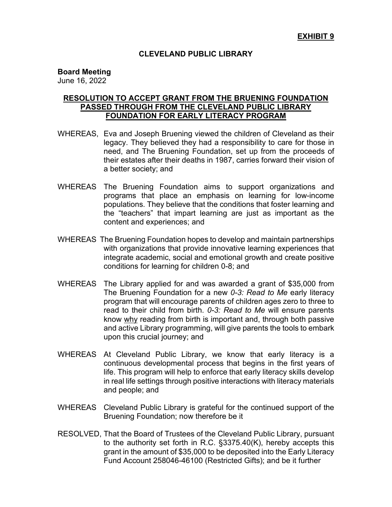## **CLEVELAND PUBLIC LIBRARY**

## **Board Meeting**

June 16, 2022

## **RESOLUTION TO ACCEPT GRANT FROM THE BRUENING FOUNDATION PASSED THROUGH FROM THE CLEVELAND PUBLIC LIBRARY FOUNDATION FOR EARLY LITERACY PROGRAM**

- WHEREAS, Eva and Joseph Bruening viewed the children of Cleveland as their legacy. They believed they had a responsibility to care for those in need, and The Bruening Foundation, set up from the proceeds of their estates after their deaths in 1987, carries forward their vision of a better society; and
- WHEREAS The Bruening Foundation aims to support organizations and programs that place an emphasis on learning for low-income populations. They believe that the conditions that foster learning and the "teachers" that impart learning are just as important as the content and experiences; and
- WHEREAS The Bruening Foundation hopes to develop and maintain partnerships with organizations that provide innovative learning experiences that integrate academic, social and emotional growth and create positive conditions for learning for children 0-8; and
- WHEREAS The Library applied for and was awarded a grant of \$35,000 from The Bruening Foundation for a new *0-3: Read to Me* early literacy program that will encourage parents of children ages zero to three to read to their child from birth. *0-3: Read to Me* will ensure parents know why reading from birth is important and, through both passive and active Library programming, will give parents the tools to embark upon this crucial journey; and
- WHEREAS At Cleveland Public Library, we know that early literacy is a continuous developmental process that begins in the first years of life. This program will help to enforce that early literacy skills develop in real life settings through positive interactions with literacy materials and people; and
- WHEREAS Cleveland Public Library is grateful for the continued support of the Bruening Foundation; now therefore be it
- RESOLVED, That the Board of Trustees of the Cleveland Public Library, pursuant to the authority set forth in R.C. §3375.40(K), hereby accepts this grant in the amount of \$35,000 to be deposited into the Early Literacy Fund Account 258046-46100 (Restricted Gifts); and be it further